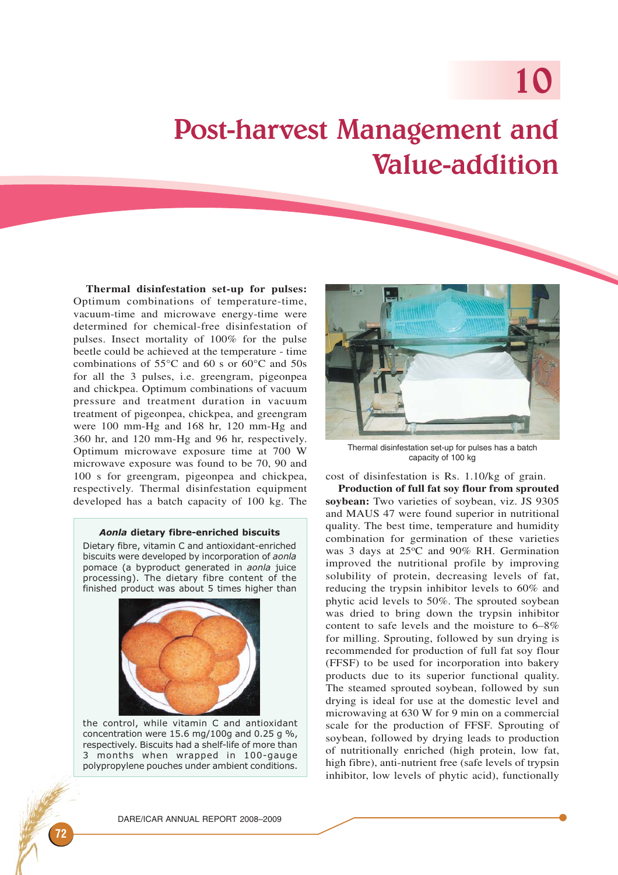# 10

# Post-harvest Management and Value-addition

**Thermal disinfestation set-up for pulses:** Optimum combinations of temperature-time, vacuum-time and microwave energy-time were determined for chemical-free disinfestation of pulses. Insect mortality of 100% for the pulse beetle could be achieved at the temperature - time combinations of 55°C and 60 s or 60°C and 50s for all the 3 pulses, i.e. greengram, pigeonpea and chickpea. Optimum combinations of vacuum pressure and treatment duration in vacuum treatment of pigeonpea, chickpea, and greengram were 100 mm-Hg and 168 hr, 120 mm-Hg and 360 hr, and 120 mm-Hg and 96 hr, respectively. Optimum microwave exposure time at 700 W microwave exposure was found to be 70, 90 and 100 s for greengram, pigeonpea and chickpea, respectively. Thermal disinfestation equipment developed has a batch capacity of 100 kg. The

#### Aonla dietary fibre-enriched biscuits

Dietary fibre, vitamin C and antioxidant-enriched biscuits were developed by incorporation of aonla pomace (a byproduct generated in aonla juice processing). The dietary fibre content of the finished product was about 5 times higher than



the control, while vitamin C and antioxidant concentration were 15.6 mg/100g and 0.25 g %, respectively. Biscuits had a shelf-life of more than 3 months when wrapped in 100-gauge polypropylene pouches under ambient conditions.



Thermal disinfestation set-up for pulses has a batch capacity of 100 kg

cost of disinfestation is Rs. 1.10/kg of grain.

**Production of full fat soy flour from sprouted soybean:** Two varieties of soybean, viz. JS 9305 and MAUS 47 were found superior in nutritional quality. The best time, temperature and humidity combination for germination of these varieties was 3 days at 25°C and 90% RH. Germination improved the nutritional profile by improving solubility of protein, decreasing levels of fat, reducing the trypsin inhibitor levels to 60% and phytic acid levels to 50%. The sprouted soybean was dried to bring down the trypsin inhibitor content to safe levels and the moisture to 6–8% for milling. Sprouting, followed by sun drying is recommended for production of full fat soy flour (FFSF) to be used for incorporation into bakery products due to its superior functional quality. The steamed sprouted soybean, followed by sun drying is ideal for use at the domestic level and microwaving at 630 W for 9 min on a commercial scale for the production of FFSF. Sprouting of soybean, followed by drying leads to production of nutritionally enriched (high protein, low fat, high fibre), anti-nutrient free (safe levels of trypsin inhibitor, low levels of phytic acid), functionally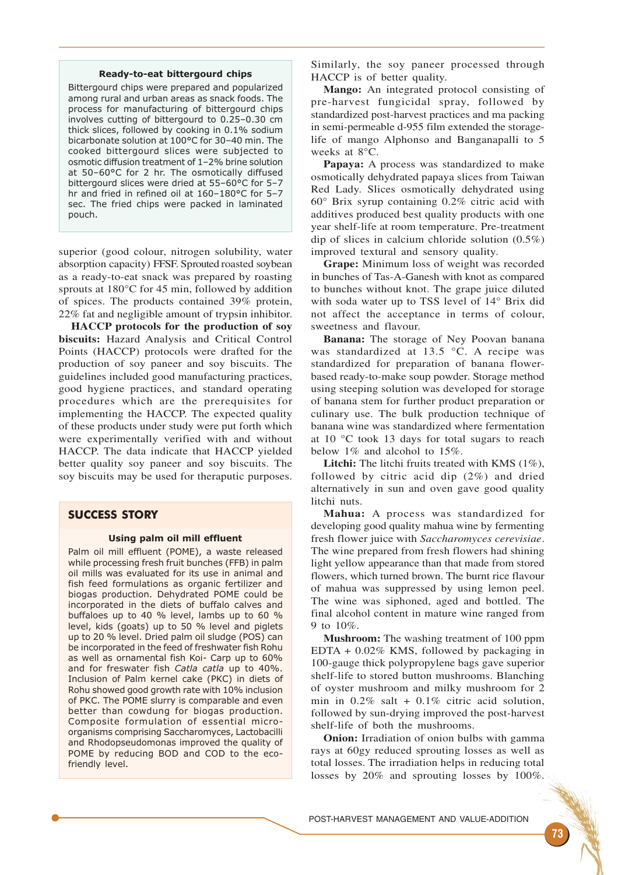#### Ready-to-eat bittergourd chips

Bittergourd chips were prepared and popularized among rural and urban areas as snack foods. The process for manufacturing of bittergourd chips involves cutting of bittergourd to 0.25–0.30 cm thick slices, followed by cooking in 0.1% sodium bicarbonate solution at 100°C for 30–40 min. The cooked bittergourd slices were subjected to osmotic diffusion treatment of 1–2% brine solution at 50–60°C for 2 hr. The osmotically diffused bittergourd slices were dried at 55–60°C for 5–7 hr and fried in refined oil at 160–180°C for 5–7 sec. The fried chips were packed in laminated pouch.

superior (good colour, nitrogen solubility, water absorption capacity) FFSF. Sprouted roasted soybean as a ready-to-eat snack was prepared by roasting sprouts at 180°C for 45 min, followed by addition of spices. The products contained 39% protein, 22% fat and negligible amount of trypsin inhibitor.

**HACCP protocols for the production of soy biscuits:** Hazard Analysis and Critical Control Points (HACCP) protocols were drafted for the production of soy paneer and soy biscuits. The guidelines included good manufacturing practices, good hygiene practices, and standard operating procedures which are the prerequisites for implementing the HACCP. The expected quality of these products under study were put forth which were experimentally verified with and without HACCP. The data indicate that HACCP yielded better quality soy paneer and soy biscuits. The soy biscuits may be used for theraputic purposes.

# SUCCESS STORY

#### Using palm oil mill effluent

Palm oil mill effluent (POME), a waste released while processing fresh fruit bunches (FFB) in palm oil mills was evaluated for its use in animal and fish feed formulations as organic fertilizer and biogas production. Dehydrated POME could be incorporated in the diets of buffalo calves and buffaloes up to 40 % level, lambs up to 60 % level, kids (goats) up to 50 % level and piglets up to 20 % level. Dried palm oil sludge (POS) can be incorporated in the feed of freshwater fish Rohu as well as ornamental fish Koi- Carp up to 60% and for freswater fish Catla catla up to 40%. Inclusion of Palm kernel cake (PKC) in diets of Rohu showed good growth rate with 10% inclusion of PKC. The POME slurry is comparable and even better than cowdung for biogas production. Composite formulation of essential microorganisms comprising Saccharomyces, Lactobacilli and Rhodopseudomonas improved the quality of POME by reducing BOD and COD to the ecofriendly level.

Similarly, the soy paneer processed through HACCP is of better quality.

**Mango:** An integrated protocol consisting of pre-harvest fungicidal spray, followed by standardized post-harvest practices and ma packing in semi-permeable d-955 film extended the storagelife of mango Alphonso and Banganapalli to 5 weeks at 8°C.

**Papaya:** A process was standardized to make osmotically dehydrated papaya slices from Taiwan Red Lady. Slices osmotically dehydrated using 60° Brix syrup containing 0.2% citric acid with additives produced best quality products with one year shelf-life at room temperature. Pre-treatment dip of slices in calcium chloride solution (0.5%) improved textural and sensory quality.

**Grape:** Minimum loss of weight was recorded in bunches of Tas-A-Ganesh with knot as compared to bunches without knot. The grape juice diluted with soda water up to TSS level of 14° Brix did not affect the acceptance in terms of colour, sweetness and flavour.

**Banana:** The storage of Ney Poovan banana was standardized at 13.5 °C. A recipe was standardized for preparation of banana flowerbased ready-to-make soup powder. Storage method using steeping solution was developed for storage of banana stem for further product preparation or culinary use. The bulk production technique of banana wine was standardized where fermentation at 10 °C took 13 days for total sugars to reach below 1% and alcohol to 15%.

Litchi: The litchi fruits treated with KMS (1%), followed by citric acid dip (2%) and dried alternatively in sun and oven gave good quality litchi nuts.

**Mahua:** A process was standardized for developing good quality mahua wine by fermenting fresh flower juice with *Saccharomyces cerevisiae*. The wine prepared from fresh flowers had shining light yellow appearance than that made from stored flowers, which turned brown. The burnt rice flavour of mahua was suppressed by using lemon peel. The wine was siphoned, aged and bottled. The final alcohol content in mature wine ranged from 9 to 10%.

**Mushroom:** The washing treatment of 100 ppm EDTA + 0.02% KMS, followed by packaging in 100-gauge thick polypropylene bags gave superior shelf-life to stored button mushrooms. Blanching of oyster mushroom and milky mushroom for 2 min in  $0.2\%$  salt +  $0.1\%$  citric acid solution, followed by sun-drying improved the post-harvest shelf-life of both the mushrooms.

**Onion:** Irradiation of onion bulbs with gamma rays at 60gy reduced sprouting losses as well as total losses. The irradiation helps in reducing total losses by 20% and sprouting losses by 100%.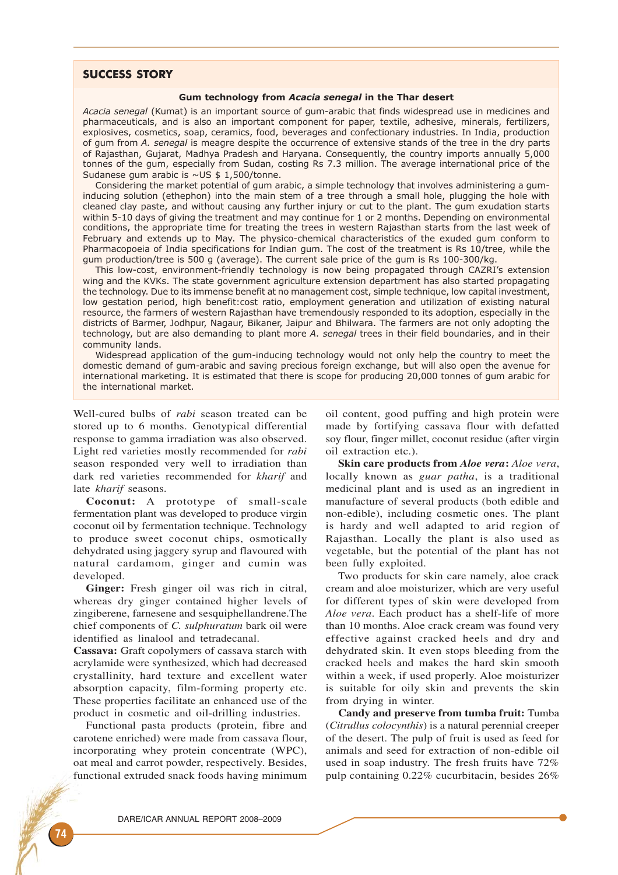# SUCCESS STORY

### Gum technology from Acacia senegal in the Thar desert

Acacia senegal (Kumat) is an important source of gum-arabic that finds widespread use in medicines and pharmaceuticals, and is also an important component for paper, textile, adhesive, minerals, fertilizers, explosives, cosmetics, soap, ceramics, food, beverages and confectionary industries. In India, production of gum from A. senegal is meagre despite the occurrence of extensive stands of the tree in the dry parts of Rajasthan, Gujarat, Madhya Pradesh and Haryana. Consequently, the country imports annually 5,000 tonnes of the gum, especially from Sudan, costing Rs 7.3 million. The average international price of the Sudanese gum arabic is  $\sim$  US \$ 1,500/tonne.

Considering the market potential of gum arabic, a simple technology that involves administering a guminducing solution (ethephon) into the main stem of a tree through a small hole, plugging the hole with cleaned clay paste, and without causing any further injury or cut to the plant. The gum exudation starts within 5-10 days of giving the treatment and may continue for 1 or 2 months. Depending on environmental conditions, the appropriate time for treating the trees in western Rajasthan starts from the last week of February and extends up to May. The physico-chemical characteristics of the exuded gum conform to Pharmacopoeia of India specifications for Indian gum. The cost of the treatment is Rs 10/tree, while the gum production/tree is 500 g (average). The current sale price of the gum is Rs 100-300/kg.

This low-cost, environment-friendly technology is now being propagated through CAZRI's extension wing and the KVKs. The state government agriculture extension department has also started propagating the technology. Due to its immense benefit at no management cost, simple technique, low capital investment, low gestation period, high benefit:cost ratio, employment generation and utilization of existing natural resource, the farmers of western Rajasthan have tremendously responded to its adoption, especially in the districts of Barmer, Jodhpur, Nagaur, Bikaner, Jaipur and Bhilwara. The farmers are not only adopting the technology, but are also demanding to plant more A. senegal trees in their field boundaries, and in their community lands.

Widespread application of the gum-inducing technology would not only help the country to meet the domestic demand of gum-arabic and saving precious foreign exchange, but will also open the avenue for international marketing. It is estimated that there is scope for producing 20,000 tonnes of gum arabic for the international market.

Well-cured bulbs of *rabi* season treated can be stored up to 6 months. Genotypical differential response to gamma irradiation was also observed. Light red varieties mostly recommended for *rabi* season responded very well to irradiation than dark red varieties recommended for *kharif* and late *kharif* seasons.

**Coconut:** A prototype of small-scale fermentation plant was developed to produce virgin coconut oil by fermentation technique. Technology to produce sweet coconut chips, osmotically dehydrated using jaggery syrup and flavoured with natural cardamom, ginger and cumin was developed.

**Ginger:** Fresh ginger oil was rich in citral, whereas dry ginger contained higher levels of zingiberene, farnesene and sesquiphellandrene.The chief components of *C. sulphuratum* bark oil were identified as linalool and tetradecanal.

**Cassava:** Graft copolymers of cassava starch with acrylamide were synthesized, which had decreased crystallinity, hard texture and excellent water absorption capacity, film-forming property etc. These properties facilitate an enhanced use of the product in cosmetic and oil-drilling industries.

Functional pasta products (protein, fibre and carotene enriched) were made from cassava flour, incorporating whey protein concentrate (WPC), oat meal and carrot powder, respectively. Besides, functional extruded snack foods having minimum

oil content, good puffing and high protein were made by fortifying cassava flour with defatted soy flour, finger millet, coconut residue (after virgin oil extraction etc.).

**Skin care products from** *Aloe vera***:** *Aloe vera*, locally known as *guar patha*, is a traditional medicinal plant and is used as an ingredient in manufacture of several products (both edible and non-edible), including cosmetic ones. The plant is hardy and well adapted to arid region of Rajasthan. Locally the plant is also used as vegetable, but the potential of the plant has not been fully exploited.

Two products for skin care namely, aloe crack cream and aloe moisturizer, which are very useful for different types of skin were developed from *Aloe vera*. Each product has a shelf-life of more than 10 months. Aloe crack cream was found very effective against cracked heels and dry and dehydrated skin. It even stops bleeding from the cracked heels and makes the hard skin smooth within a week, if used properly. Aloe moisturizer is suitable for oily skin and prevents the skin from drying in winter.

**Candy and preserve from tumba fruit:** Tumba (*Citrullus colocynthis*) is a natural perennial creeper of the desert. The pulp of fruit is used as feed for animals and seed for extraction of non-edible oil used in soap industry. The fresh fruits have 72% pulp containing 0.22% cucurbitacin, besides 26%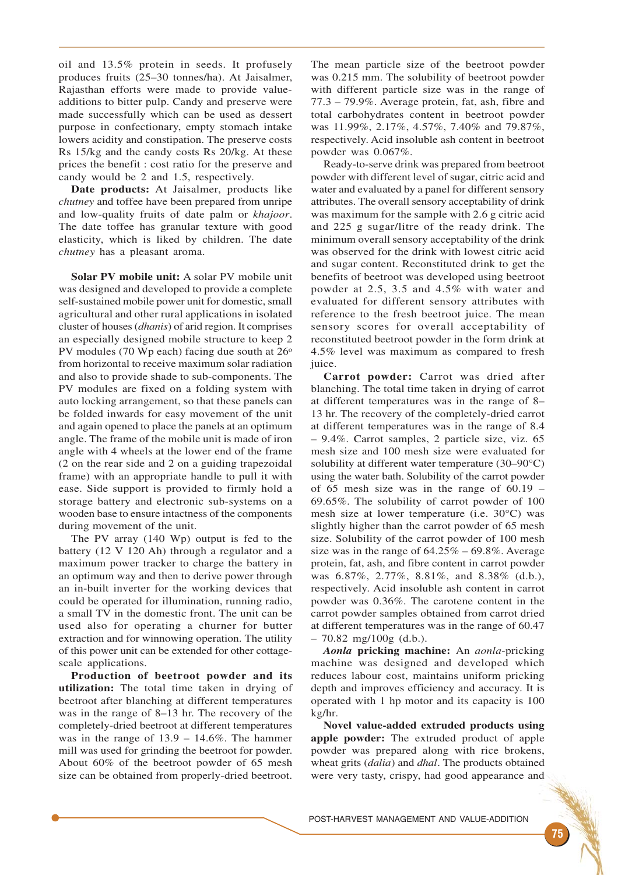oil and 13.5% protein in seeds. It profusely produces fruits (25–30 tonnes/ha). At Jaisalmer, Rajasthan efforts were made to provide valueadditions to bitter pulp. Candy and preserve were made successfully which can be used as dessert purpose in confectionary, empty stomach intake lowers acidity and constipation. The preserve costs Rs 15/kg and the candy costs Rs 20/kg. At these prices the benefit : cost ratio for the preserve and candy would be 2 and 1.5, respectively.

**Date products:** At Jaisalmer, products like *chutney* and toffee have been prepared from unripe and low-quality fruits of date palm or *khajoor*. The date toffee has granular texture with good elasticity, which is liked by children. The date *chutney* has a pleasant aroma.

**Solar PV mobile unit:** A solar PV mobile unit was designed and developed to provide a complete self-sustained mobile power unit for domestic, small agricultural and other rural applications in isolated cluster of houses (*dhanis*) of arid region. It comprises an especially designed mobile structure to keep 2 PV modules (70 Wp each) facing due south at  $26^{\circ}$ from horizontal to receive maximum solar radiation and also to provide shade to sub-components. The PV modules are fixed on a folding system with auto locking arrangement, so that these panels can be folded inwards for easy movement of the unit and again opened to place the panels at an optimum angle. The frame of the mobile unit is made of iron angle with 4 wheels at the lower end of the frame (2 on the rear side and 2 on a guiding trapezoidal frame) with an appropriate handle to pull it with ease. Side support is provided to firmly hold a storage battery and electronic sub-systems on a wooden base to ensure intactness of the components during movement of the unit.

The PV array (140 Wp) output is fed to the battery (12 V 120 Ah) through a regulator and a maximum power tracker to charge the battery in an optimum way and then to derive power through an in-built inverter for the working devices that could be operated for illumination, running radio, a small TV in the domestic front. The unit can be used also for operating a churner for butter extraction and for winnowing operation. The utility of this power unit can be extended for other cottagescale applications.

**Production of beetroot powder and its utilization:** The total time taken in drying of beetroot after blanching at different temperatures was in the range of 8–13 hr. The recovery of the completely-dried beetroot at different temperatures was in the range of 13.9 – 14.6%. The hammer mill was used for grinding the beetroot for powder. About 60% of the beetroot powder of 65 mesh size can be obtained from properly-dried beetroot.

The mean particle size of the beetroot powder was 0.215 mm. The solubility of beetroot powder with different particle size was in the range of 77.3 – 79.9%. Average protein, fat, ash, fibre and total carbohydrates content in beetroot powder was 11.99%, 2.17%, 4.57%, 7.40% and 79.87%, respectively. Acid insoluble ash content in beetroot powder was 0.067%.

Ready-to-serve drink was prepared from beetroot powder with different level of sugar, citric acid and water and evaluated by a panel for different sensory attributes. The overall sensory acceptability of drink was maximum for the sample with 2.6 g citric acid and 225 g sugar/litre of the ready drink. The minimum overall sensory acceptability of the drink was observed for the drink with lowest citric acid and sugar content. Reconstituted drink to get the benefits of beetroot was developed using beetroot powder at 2.5, 3.5 and 4.5% with water and evaluated for different sensory attributes with reference to the fresh beetroot juice. The mean sensory scores for overall acceptability of reconstituted beetroot powder in the form drink at 4.5% level was maximum as compared to fresh juice.

**Carrot powder:** Carrot was dried after blanching. The total time taken in drying of carrot at different temperatures was in the range of 8– 13 hr. The recovery of the completely-dried carrot at different temperatures was in the range of 8.4 – 9.4%. Carrot samples, 2 particle size, viz. 65 mesh size and 100 mesh size were evaluated for solubility at different water temperature (30–90°C) using the water bath. Solubility of the carrot powder of 65 mesh size was in the range of 60.19 – 69.65%. The solubility of carrot powder of 100 mesh size at lower temperature (i.e. 30°C) was slightly higher than the carrot powder of 65 mesh size. Solubility of the carrot powder of 100 mesh size was in the range of  $64.25\%$  –  $69.8\%$ . Average protein, fat, ash, and fibre content in carrot powder was 6.87%, 2.77%, 8.81%, and 8.38% (d.b.), respectively. Acid insoluble ash content in carrot powder was 0.36%. The carotene content in the carrot powder samples obtained from carrot dried at different temperatures was in the range of 60.47  $-70.82$  mg/100g (d.b.).

*Aonla* **pricking machine:** An *aonla*-pricking machine was designed and developed which reduces labour cost, maintains uniform pricking depth and improves efficiency and accuracy. It is operated with 1 hp motor and its capacity is 100 kg/hr.

**Novel value-added extruded products using apple powder:** The extruded product of apple powder was prepared along with rice brokens, wheat grits (*dalia*) and *dhal*. The products obtained were very tasty, crispy, had good appearance and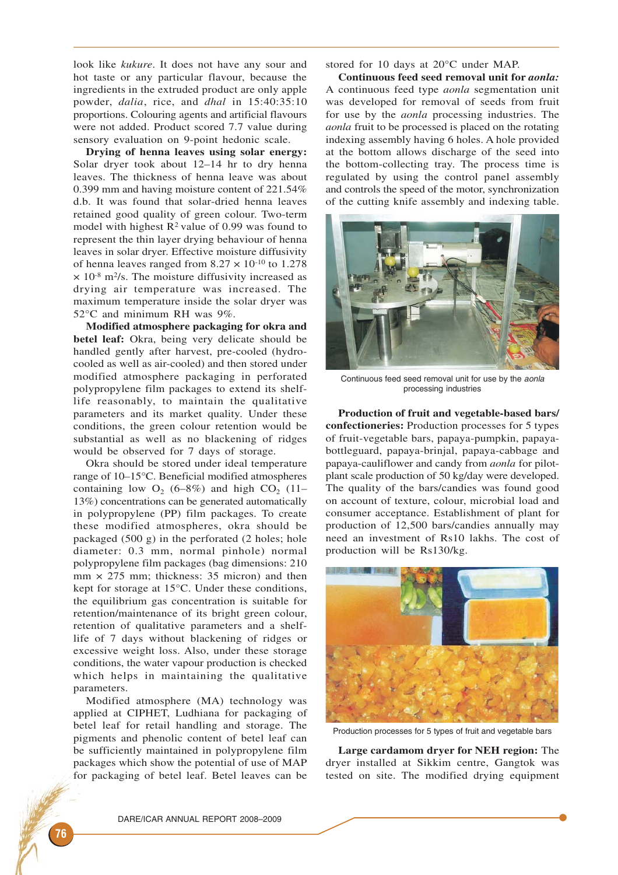look like *kukure*. It does not have any sour and hot taste or any particular flavour, because the ingredients in the extruded product are only apple powder, *dalia*, rice, and *dhal* in 15:40:35:10 proportions. Colouring agents and artificial flavours were not added. Product scored 7.7 value during sensory evaluation on 9-point hedonic scale.

**Drying of henna leaves using solar energy:** Solar dryer took about 12–14 hr to dry henna leaves. The thickness of henna leave was about 0.399 mm and having moisture content of 221.54% d.b. It was found that solar-dried henna leaves retained good quality of green colour. Two-term model with highest  $R^2$  value of 0.99 was found to represent the thin layer drying behaviour of henna leaves in solar dryer. Effective moisture diffusivity of henna leaves ranged from  $8.27 \times 10^{-10}$  to 1.278  $\times$  10<sup>-8</sup> m<sup>2</sup>/s. The moisture diffusivity increased as drying air temperature was increased. The maximum temperature inside the solar dryer was 52°C and minimum RH was 9%.

**Modified atmosphere packaging for okra and betel leaf:** Okra, being very delicate should be handled gently after harvest, pre-cooled (hydrocooled as well as air-cooled) and then stored under modified atmosphere packaging in perforated polypropylene film packages to extend its shelflife reasonably, to maintain the qualitative parameters and its market quality. Under these conditions, the green colour retention would be substantial as well as no blackening of ridges would be observed for 7 days of storage.

Okra should be stored under ideal temperature range of 10–15°C. Beneficial modified atmospheres containing low  $O_2$  (6–8%) and high CO<sub>2</sub> (11– 13%) concentrations can be generated automatically in polypropylene (PP) film packages. To create these modified atmospheres, okra should be packaged (500 g) in the perforated (2 holes; hole diameter: 0.3 mm, normal pinhole) normal polypropylene film packages (bag dimensions: 210  $mm \times 275$  mm; thickness: 35 micron) and then kept for storage at 15°C. Under these conditions, the equilibrium gas concentration is suitable for retention/maintenance of its bright green colour, retention of qualitative parameters and a shelflife of 7 days without blackening of ridges or excessive weight loss. Also, under these storage conditions, the water vapour production is checked which helps in maintaining the qualitative parameters.

Modified atmosphere (MA) technology was applied at CIPHET, Ludhiana for packaging of betel leaf for retail handling and storage. The pigments and phenolic content of betel leaf can be sufficiently maintained in polypropylene film packages which show the potential of use of MAP for packaging of betel leaf. Betel leaves can be

stored for 10 days at 20°C under MAP.

**Continuous feed seed removal unit for** *aonla:* A continuous feed type *aonla* segmentation unit was developed for removal of seeds from fruit for use by the *aonla* processing industries. The *aonla* fruit to be processed is placed on the rotating indexing assembly having 6 holes. A hole provided at the bottom allows discharge of the seed into the bottom-collecting tray. The process time is regulated by using the control panel assembly and controls the speed of the motor, synchronization of the cutting knife assembly and indexing table.



Continuous feed seed removal unit for use by the aonla processing industries

**Production of fruit and vegetable-based bars/ confectioneries:** Production processes for 5 types of fruit-vegetable bars, papaya-pumpkin, papayabottleguard, papaya-brinjal, papaya-cabbage and papaya-cauliflower and candy from *aonla* for pilotplant scale production of 50 kg/day were developed. The quality of the bars/candies was found good on account of texture, colour, microbial load and consumer acceptance. Establishment of plant for production of 12,500 bars/candies annually may need an investment of Rs10 lakhs. The cost of production will be Rs130/kg.



Production processes for 5 types of fruit and vegetable bars

**Large cardamom dryer for NEH region:** The dryer installed at Sikkim centre, Gangtok was tested on site. The modified drying equipment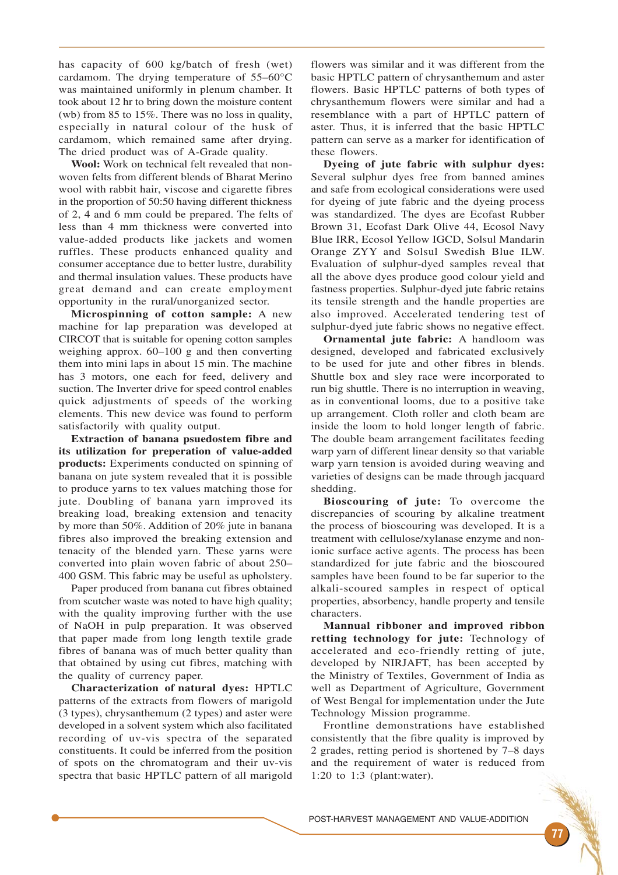has capacity of 600 kg/batch of fresh (wet) cardamom. The drying temperature of 55–60°C was maintained uniformly in plenum chamber. It took about 12 hr to bring down the moisture content (wb) from 85 to 15%. There was no loss in quality, especially in natural colour of the husk of cardamom, which remained same after drying. The dried product was of A-Grade quality.

**Wool:** Work on technical felt revealed that nonwoven felts from different blends of Bharat Merino wool with rabbit hair, viscose and cigarette fibres in the proportion of 50:50 having different thickness of 2, 4 and 6 mm could be prepared. The felts of less than 4 mm thickness were converted into value-added products like jackets and women ruffles. These products enhanced quality and consumer acceptance due to better lustre, durability and thermal insulation values. These products have great demand and can create employment opportunity in the rural/unorganized sector.

**Microspinning of cotton sample:** A new machine for lap preparation was developed at CIRCOT that is suitable for opening cotton samples weighing approx. 60–100 g and then converting them into mini laps in about 15 min. The machine has 3 motors, one each for feed, delivery and suction. The Inverter drive for speed control enables quick adjustments of speeds of the working elements. This new device was found to perform satisfactorily with quality output.

**Extraction of banana psuedostem fibre and its utilization for preperation of value-added products:** Experiments conducted on spinning of banana on jute system revealed that it is possible to produce yarns to tex values matching those for jute. Doubling of banana yarn improved its breaking load, breaking extension and tenacity by more than 50%. Addition of 20% jute in banana fibres also improved the breaking extension and tenacity of the blended yarn. These yarns were converted into plain woven fabric of about 250– 400 GSM. This fabric may be useful as upholstery.

Paper produced from banana cut fibres obtained from scutcher waste was noted to have high quality; with the quality improving further with the use of NaOH in pulp preparation. It was observed that paper made from long length textile grade fibres of banana was of much better quality than that obtained by using cut fibres, matching with the quality of currency paper.

**Characterization of natural dyes:** HPTLC patterns of the extracts from flowers of marigold (3 types), chrysanthemum (2 types) and aster were developed in a solvent system which also facilitated recording of uv-vis spectra of the separated constituents. It could be inferred from the position of spots on the chromatogram and their uv-vis spectra that basic HPTLC pattern of all marigold

flowers was similar and it was different from the basic HPTLC pattern of chrysanthemum and aster flowers. Basic HPTLC patterns of both types of chrysanthemum flowers were similar and had a resemblance with a part of HPTLC pattern of aster. Thus, it is inferred that the basic HPTLC pattern can serve as a marker for identification of these flowers.

**Dyeing of jute fabric with sulphur dyes:** Several sulphur dyes free from banned amines and safe from ecological considerations were used for dyeing of jute fabric and the dyeing process was standardized. The dyes are Ecofast Rubber Brown 31, Ecofast Dark Olive 44, Ecosol Navy Blue IRR, Ecosol Yellow IGCD, Solsul Mandarin Orange ZYY and Solsul Swedish Blue ILW. Evaluation of sulphur-dyed samples reveal that all the above dyes produce good colour yield and fastness properties. Sulphur-dyed jute fabric retains its tensile strength and the handle properties are also improved. Accelerated tendering test of sulphur-dyed jute fabric shows no negative effect.

**Ornamental jute fabric:** A handloom was designed, developed and fabricated exclusively to be used for jute and other fibres in blends. Shuttle box and sley race were incorporated to run big shuttle. There is no interruption in weaving, as in conventional looms, due to a positive take up arrangement. Cloth roller and cloth beam are inside the loom to hold longer length of fabric. The double beam arrangement facilitates feeding warp yarn of different linear density so that variable warp yarn tension is avoided during weaving and varieties of designs can be made through jacquard shedding.

**Bioscouring of jute:** To overcome the discrepancies of scouring by alkaline treatment the process of bioscouring was developed. It is a treatment with cellulose/xylanase enzyme and nonionic surface active agents. The process has been standardized for jute fabric and the bioscoured samples have been found to be far superior to the alkali-scoured samples in respect of optical properties, absorbency, handle property and tensile characters.

**Mannual ribboner and improved ribbon retting technology for jute:** Technology of accelerated and eco-friendly retting of jute, developed by NIRJAFT, has been accepted by the Ministry of Textiles, Government of India as well as Department of Agriculture, Government of West Bengal for implementation under the Jute Technology Mission programme.

Frontline demonstrations have established consistently that the fibre quality is improved by 2 grades, retting period is shortened by 7–8 days and the requirement of water is reduced from 1:20 to 1:3 (plant:water).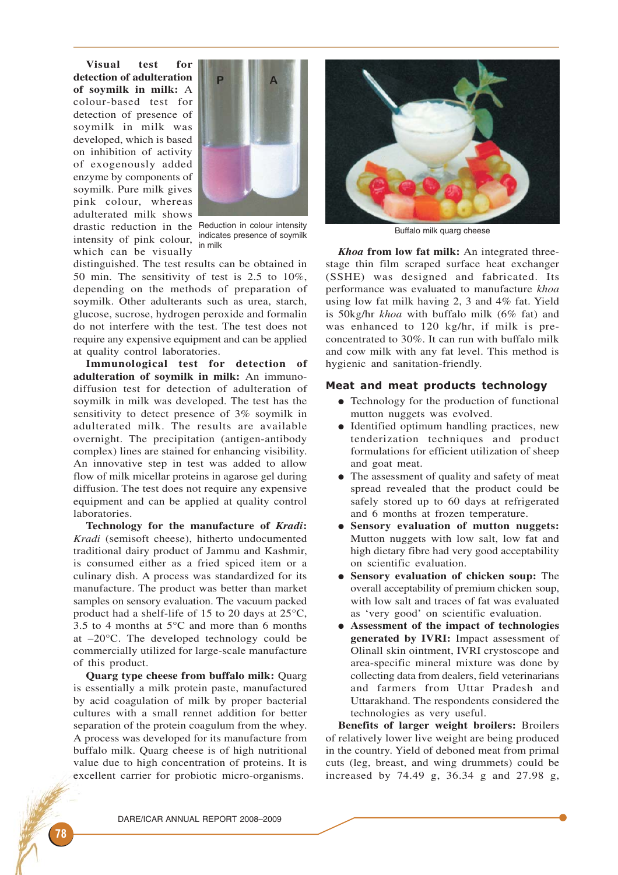**Visual test for detection of adulteration of soymilk in milk:** A colour-based test for detection of presence of soymilk in milk was developed, which is based on inhibition of activity of exogenously added enzyme by components of soymilk. Pure milk gives pink colour, whereas adulterated milk shows drastic reduction in the Reduction in colour intensity intensity of pink colour, <sup>indicat</sup> which can be visually



indicates presence of soymilk

distinguished. The test results can be obtained in 50 min. The sensitivity of test is 2.5 to 10%, depending on the methods of preparation of soymilk. Other adulterants such as urea, starch, glucose, sucrose, hydrogen peroxide and formalin do not interfere with the test. The test does not require any expensive equipment and can be applied at quality control laboratories.

**Immunological test for detection of adulteration of soymilk in milk:** An immunodiffusion test for detection of adulteration of soymilk in milk was developed. The test has the sensitivity to detect presence of 3% soymilk in adulterated milk. The results are available overnight. The precipitation (antigen-antibody complex) lines are stained for enhancing visibility. An innovative step in test was added to allow flow of milk micellar proteins in agarose gel during diffusion. The test does not require any expensive equipment and can be applied at quality control laboratories.

**Technology for the manufacture of** *Kradi***:** *Kradi* (semisoft cheese), hitherto undocumented traditional dairy product of Jammu and Kashmir, is consumed either as a fried spiced item or a culinary dish. A process was standardized for its manufacture. The product was better than market samples on sensory evaluation. The vacuum packed product had a shelf-life of 15 to 20 days at 25°C, 3.5 to 4 months at 5°C and more than 6 months at  $-20^{\circ}$ C. The developed technology could be commercially utilized for large-scale manufacture of this product.

**Quarg type cheese from buffalo milk:** Quarg is essentially a milk protein paste, manufactured by acid coagulation of milk by proper bacterial cultures with a small rennet addition for better separation of the protein coagulum from the whey. A process was developed for its manufacture from buffalo milk. Quarg cheese is of high nutritional value due to high concentration of proteins. It is excellent carrier for probiotic micro-organisms.



Buffalo milk quarg cheese

*Khoa* **from low fat milk:** An integrated threestage thin film scraped surface heat exchanger (SSHE) was designed and fabricated. Its performance was evaluated to manufacture *khoa* using low fat milk having 2, 3 and 4% fat. Yield is 50kg/hr *khoa* with buffalo milk (6% fat) and was enhanced to 120 kg/hr, if milk is preconcentrated to 30%. It can run with buffalo milk and cow milk with any fat level. This method is hygienic and sanitation-friendly.

# Meat and meat products technology

- Technology for the production of functional mutton nuggets was evolved.
- Identified optimum handling practices, new tenderization techniques and product formulations for efficient utilization of sheep and goat meat.
- The assessment of quality and safety of meat spread revealed that the product could be safely stored up to 60 days at refrigerated and 6 months at frozen temperature.
- **Sensory evaluation of mutton nuggets:** Mutton nuggets with low salt, low fat and high dietary fibre had very good acceptability on scientific evaluation.
- **Sensory evaluation of chicken soup:** The overall acceptability of premium chicken soup, with low salt and traces of fat was evaluated as 'very good' on scientific evaluation.
- **Assessment of the impact of technologies generated by IVRI:** Impact assessment of Olinall skin ointment, IVRI crystoscope and area-specific mineral mixture was done by collecting data from dealers, field veterinarians and farmers from Uttar Pradesh and Uttarakhand. The respondents considered the technologies as very useful.

**Benefits of larger weight broilers:** Broilers of relatively lower live weight are being produced in the country. Yield of deboned meat from primal cuts (leg, breast, and wing drummets) could be increased by 74.49 g, 36.34 g and 27.98 g,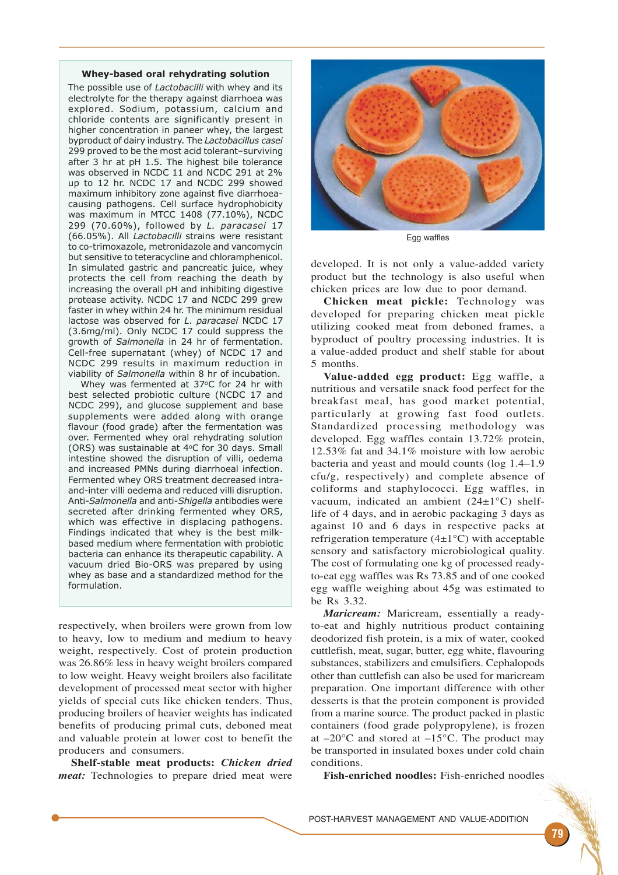#### Whey-based oral rehydrating solution

The possible use of Lactobacilli with whey and its electrolyte for the therapy against diarrhoea was explored. Sodium, potassium, calcium and chloride contents are significantly present in higher concentration in paneer whey, the largest byproduct of dairy industry. The Lactobacillus casei 299 proved to be the most acid tolerant–surviving after 3 hr at pH 1.5. The highest bile tolerance was observed in NCDC 11 and NCDC 291 at 2% up to 12 hr. NCDC 17 and NCDC 299 showed maximum inhibitory zone against five diarrhoeacausing pathogens. Cell surface hydrophobicity was maximum in MTCC 1408 (77.10%), NCDC 299 (70.60%), followed by L. paracasei 17 (66.05%). All Lactobacilli strains were resistant to co-trimoxazole, metronidazole and vancomycin but sensitive to teteracycline and chloramphenicol. In simulated gastric and pancreatic juice, whey protects the cell from reaching the death by increasing the overall pH and inhibiting digestive protease activity. NCDC 17 and NCDC 299 grew faster in whey within 24 hr. The minimum residual lactose was observed for L. paracasei NCDC 17 (3.6mg/ml). Only NCDC 17 could suppress the growth of Salmonella in 24 hr of fermentation. Cell-free supernatant (whey) of NCDC 17 and NCDC 299 results in maximum reduction in viability of Salmonella within 8 hr of incubation.

Whey was fermented at 37°C for 24 hr with best selected probiotic culture (NCDC 17 and NCDC 299), and glucose supplement and base supplements were added along with orange flavour (food grade) after the fermentation was over. Fermented whey oral rehydrating solution (ORS) was sustainable at 4<sup>o</sup>C for 30 days. Small intestine showed the disruption of villi, oedema and increased PMNs during diarrhoeal infection. Fermented whey ORS treatment decreased intraand-inter villi oedema and reduced villi disruption. Anti-Salmonella and anti-Shigella antibodies were secreted after drinking fermented whey ORS, which was effective in displacing pathogens. Findings indicated that whey is the best milkbased medium where fermentation with probiotic bacteria can enhance its therapeutic capability. A vacuum dried Bio-ORS was prepared by using whey as base and a standardized method for the formulation.

respectively, when broilers were grown from low to heavy, low to medium and medium to heavy weight, respectively. Cost of protein production was 26.86% less in heavy weight broilers compared to low weight. Heavy weight broilers also facilitate development of processed meat sector with higher yields of special cuts like chicken tenders. Thus, producing broilers of heavier weights has indicated benefits of producing primal cuts, deboned meat and valuable protein at lower cost to benefit the producers and consumers.

**Shelf-stable meat products:** *Chicken dried meat:* Technologies to prepare dried meat were



Egg waffles

developed. It is not only a value-added variety product but the technology is also useful when chicken prices are low due to poor demand.

**Chicken meat pickle:** Technology was developed for preparing chicken meat pickle utilizing cooked meat from deboned frames, a byproduct of poultry processing industries. It is a value-added product and shelf stable for about 5 months.

**Value-added egg product:** Egg waffle, a nutritious and versatile snack food perfect for the breakfast meal, has good market potential, particularly at growing fast food outlets. Standardized processing methodology was developed. Egg waffles contain 13.72% protein, 12.53% fat and 34.1% moisture with low aerobic bacteria and yeast and mould counts (log 1.4–1.9 cfu/g, respectively) and complete absence of coliforms and staphylococci. Egg waffles, in vacuum, indicated an ambient (24±1°C) shelflife of 4 days, and in aerobic packaging 3 days as against 10 and 6 days in respective packs at refrigeration temperature  $(4\pm1\textdegree C)$  with acceptable sensory and satisfactory microbiological quality. The cost of formulating one kg of processed readyto-eat egg waffles was Rs 73.85 and of one cooked egg waffle weighing about 45g was estimated to be Rs 3.32.

*Maricream:* Maricream, essentially a readyto-eat and highly nutritious product containing deodorized fish protein, is a mix of water, cooked cuttlefish, meat, sugar, butter, egg white, flavouring substances, stabilizers and emulsifiers. Cephalopods other than cuttlefish can also be used for maricream preparation. One important difference with other desserts is that the protein component is provided from a marine source. The product packed in plastic containers (food grade polypropylene), is frozen at  $-20^{\circ}$ C and stored at  $-15^{\circ}$ C. The product may be transported in insulated boxes under cold chain conditions.

**Fish-enriched noodles:** Fish-enriched noodles